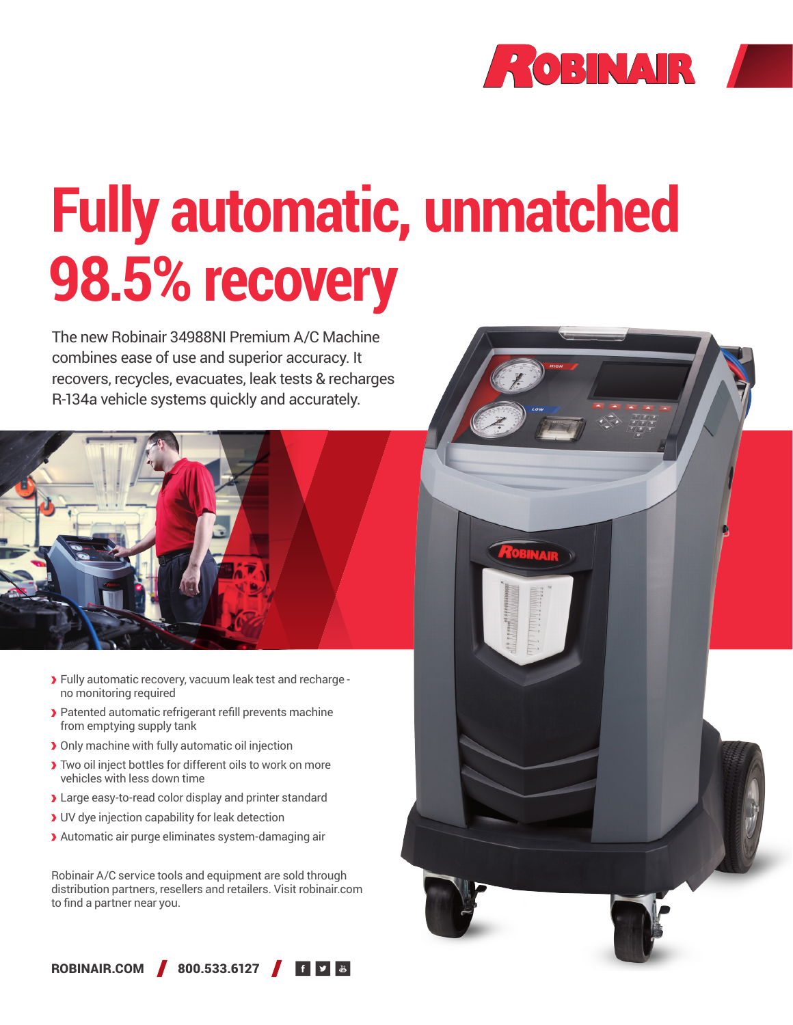

# **Fully automatic, unmatched 98.5% recovery**

The new Robinair 34988NI Premium A/C Machine combines ease of use and superior accuracy. It recovers, recycles, evacuates, leak tests & recharges R-134a vehicle systems quickly and accurately.



- Fully automatic recovery, vacuum leak test and recharge no monitoring required
- Patented automatic refrigerant refill prevents machine from emptying supply tank
- **>** Only machine with fully automatic oil injection
- Two oil inject bottles for different oils to work on more vehicles with less down time
- Large easy-to-read color display and printer standard
- UV dye injection capability for leak detection
- Automatic air purge eliminates system-damaging air

Robinair A/C service tools and equipment are sold through distribution partners, resellers and retailers. Visit robinair.com to find a partner near you.



ROBINAIR.COM 800.533.6127 6 9 8